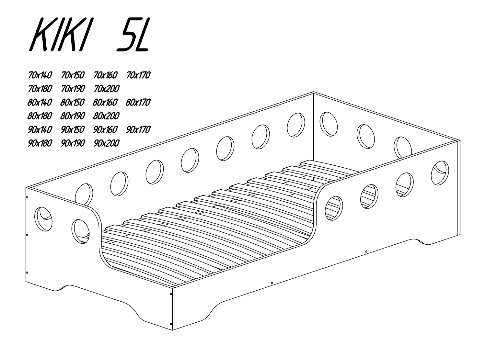## KIKI 5L

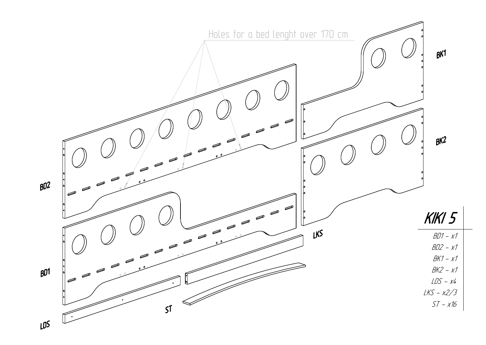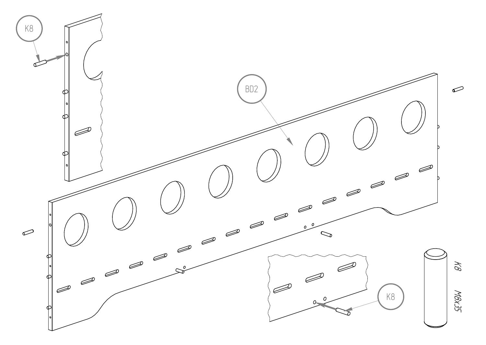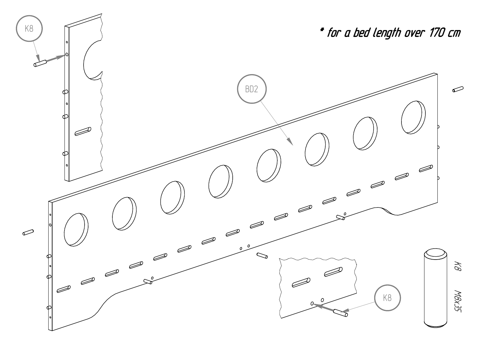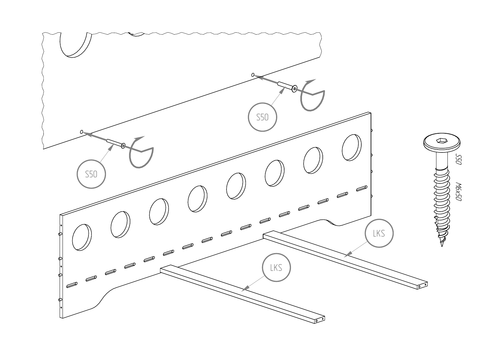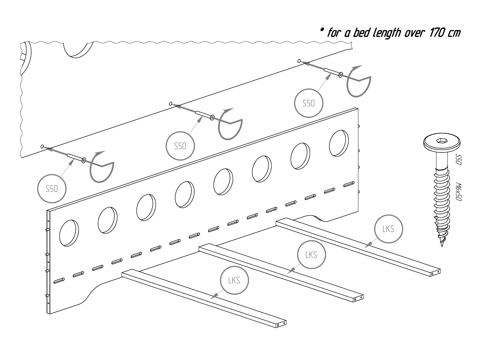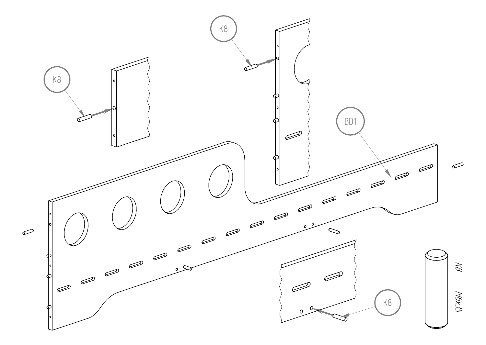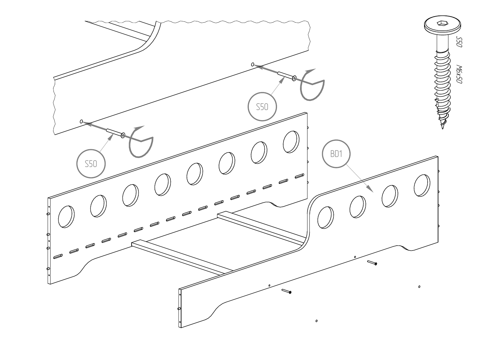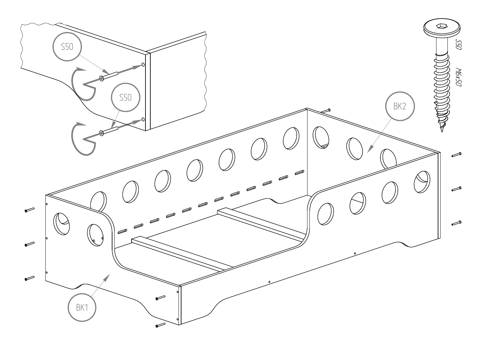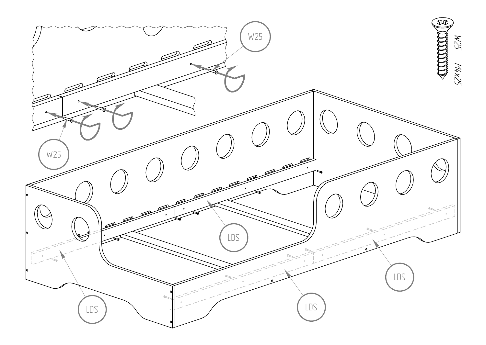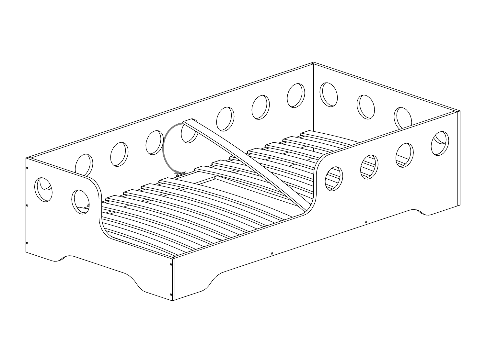